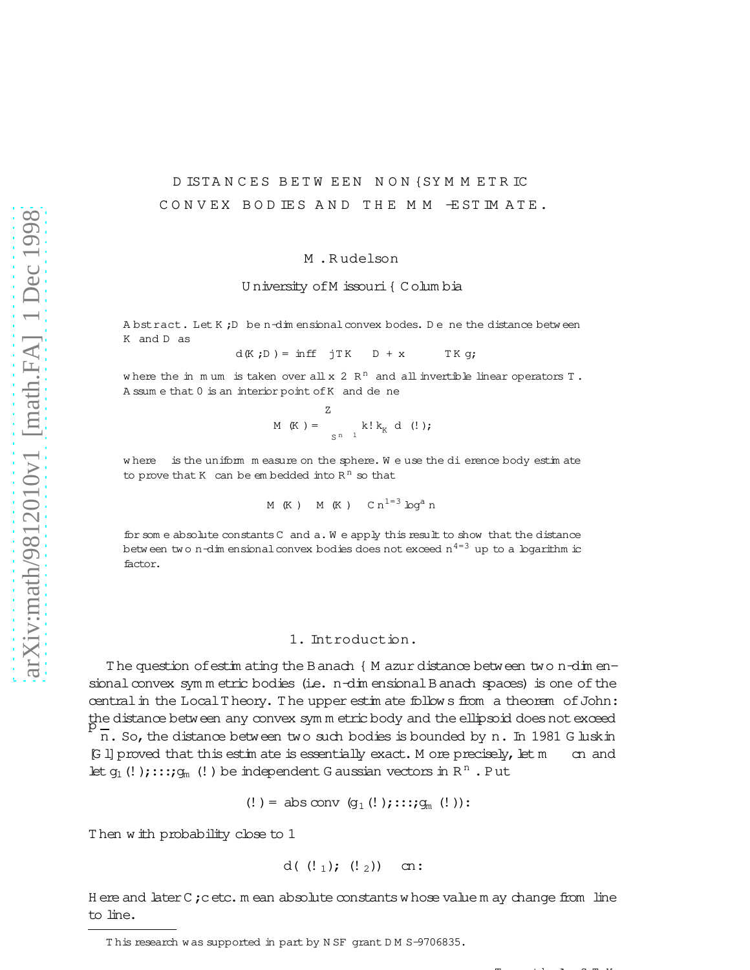# D ISTANCES BETW EEN NON {SYMMETRIC CONVEX BOD IES AND THE MM ESTIMATE.

#### M.Rudelson

### University of M issouri { Columbia

A bstract. Let K; D be n-dim ensional convex bodes. De ne the distance between K and D as

$$
d(K;D) = inff \quad jTK \quad D + x \qquad TKg;
$$

where the in mum is taken over all x 2  $R<sup>n</sup>$  and all invertible linear operators T. A ssum e that 0 is an interior point of K and de ne

$$
M(K) = \sum_{S^{n-1}}^{Z} k! k_{K} d(!);
$$

where is the uniform measure on the sphere. We use the dierence body estimate to prove that  $K$  can be embedded into  $R<sup>n</sup>$  so that

$$
\mathtt{M} \ \mathtt{(K)} \ \mathtt{M} \ \mathtt{(K)} \ \mathtt{C} \mathtt{n}^{1=3} \log^{\mathtt{a}} \mathtt{n}
$$

for some absolute constants C and a. We apply this result to show that the distance between two n-dim ensional convex bodies does not exceed  $n^{4=3}$  up to a logarithm ic factor.

## 1. Introduction.

The question of estimating the Banach { M azur distance between two n-dimensional convex symmetric bodies (i.e. n-dimensional Banach spaces) is one of the central in the Local Theory. The upper estim ate follows from a theorem of John: the distance between any convex symm etric body and the ellipsoid does not exceed  $\overline{n}$ . So, the distance between two such bodies is bounded by n. In 1981 G luskin [G 1] proved that this estimate is essentially exact. M ore precisely, let m cn and let  $g_1$  (!);:::; $g_m$  (!) be independent G aussian vectors in R<sup>n</sup>. Put

$$
(! ) = abs conv (g1 (! );::::gm (!)):
$$

Then with probability close to 1

$$
d((!_1); (!_2))
$$
 cn

Here and later C; cetc. mean absolute constants whose value may change from line to line.

This research was supported in part by NSF grant DM S-9706835.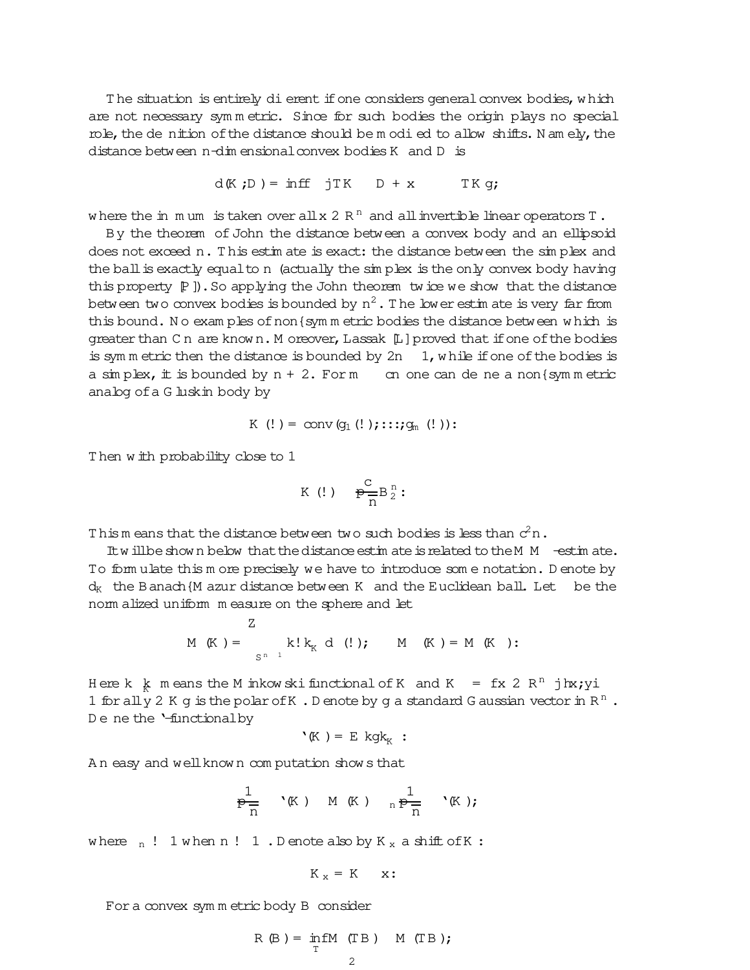The situation is entirely dierent if one considers general convex bodies, which are not necessary sym m etric. Since for such bodies the origin plays no special role, the de nition of the distance should be m odi ed to allow shifts. N am ely, the distance between n-dim ensional convex bodies K and D is

$$
d(K;D) = inff jTK D + x TK g;
$$

where the in  $m$  um is taken over all x 2  $R<sup>n</sup>$  and all invertible linear operators T.

By the theorem of John the distance between a convex body and an ellipsoid does not exceed n. This estim ate is exact: the distance between the simplex and the ball is exactly equal to n (actually the simplex is the only convex body having this property  $[P]$ ). So applying the John theorem tw ice we show that the distance between two convex bodies is bounded by  $\mathrm{n}^{2}$  . The lower estim ate is very far from this bound. No exam ples of non {symm etric bodies the distance between which is greater than C n are known. M oreover, Lassak [L] proved that if one of the bodies is symm etric then the distance is bounded by  $2n \quad 1$ , while if one of the bodies is a simplex, it is bounded by  $n + 2$ . For m cn one can de ne a non {sym m etric analog ofa G luskin body by

$$
\texttt{K} \;\; (!) = \; \texttt{conv}\left(\texttt{g}_1\left( ! \right);\texttt{::}{:}\texttt{g}_m\left( ! \right)\right)\texttt{:}
$$

T hen w ith probability close to 1

$$
K(\cdot) \quad \mathop{\longrightarrow}\limits^C_{n=1} B^n_2:
$$

This means that the distance between two such bodies is less than  $c^2$ n.

It will be show n below that the distance est in a te is related to the M  $M$  -est in ate. To form ulate this m ore precisely we have to introduce som e notation. D enote by  $d_K$  the Banach{M azur distance between K and the Euclidean ball. Let be the norm alized uniform m easure on the sphere and let

$$
M(K) = \sum_{S^{n-1}} k! k_{K} d(!) ; \qquad M(K) = M(K) :
$$

Here k  $k$  m eans the M inkow ski functional of K and K = fx 2 R<sup>n</sup> jhx; yi 1 for all  $\stackrel{\sim}{y}$  2 K g is the polar of K . D enote by g a standard G aussian vector in R<sup>n</sup>. De ne the '-functionalby

$$
`\leftarrow{\mathbb{K}}\left.\right)=\right.\mathrm{E}~\mathrm{kgk}_{_{\mathrm{K}}}\right.\,:
$$

A n easy and wellknow n com putation show s that

$$
\frac{1}{p-1} \quad (K) \quad M(K) \quad n \frac{1}{p-1} \quad (K);
$$

where  $n!$  1 when  $n!$  1. D enote also by  $K_x$  a shift of K:

$$
K_x = K \quad x:
$$

Fora convex sym m etric body B consider

$$
R(B) = \inf_{T} M(TB) \quad M(TB);
$$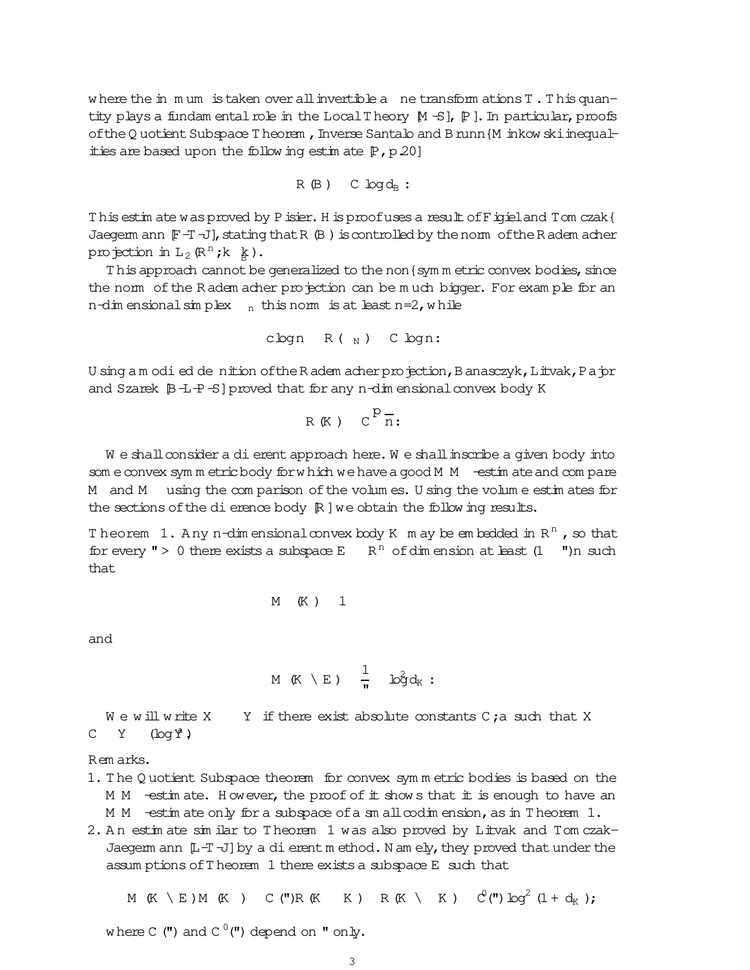where the in mum is taken over all invertible a ne transform ations T. This quantity plays a fundam ental role in the Local Theory  $[M -S]$ ,  $[P]$ . In particular, proofs of the Q uotient Subspace T heorem, Inverse Santalo and B runn {M inkow ski inequalities are based upon the following estimate  $[P, p, 20]$ 

$$
R(B) \quad C \log d_B:
$$

This estimate was proved by Pisier. His proof uses a result of Figieland Tom czak { Jaeqem ann  $[F - T]$ , stating that R $(B)$  is controlled by the norm of the R adem acher projection in  $L_2(\mathbb{R}^n; k \, k)$ .

This approach cannot be generalized to the non {sym m etric convex bodies, since the nom of the Radem acher projection can be much bigger. For example for an n-dim ensional simplex  $n$  this norm is at least n=2, while

$$
cbqn R(\gamma)
$$
 C  $bqn$ :

U sing a m odi ed de nition of the R adem acher projection, B anasczyk, L itvak, P a jor and Szarek  $\beta$ -E-S] proved that for any n-dim ensional convex body K

$$
R(K) \quad C^{\mathcal{D}}\overline{n}:
$$

We shall consider a dierent approach here. We shall inscribe a given body into som e convex symm etric body for which we have a good M M - estim ate and compare M and M using the comparison of the volumes. U sing the volume estimates for the sections of the dierence body  $\mathbb R$  ] we obtain the following results.

Theorem 1. Any n-dim ensional convex body K m ay be embedded in  $R^n$ , so that for every " > 0 there exists a subspace E R<sup>n</sup> of dim ension at least  $(1 \t m)n$  such that

$$
M(K) \quad 1
$$

and

$$
M(K \setminus E) = \frac{1}{N} \quad \log d_K:
$$

 $W \in W$ ill write X Y if there exist absolute constants C; a such that X  $C Y$  $(\log \AA)$ 

Remarks.

- 1. The Q uotient Subspace theorem for convex symmetric bodies is based on the M M -estimate. However, the proof of it shows that it is enough to have an  $M$   $M$  -estimate only for a subspace of a small codimension, as in Theorem 1.
- 2. An estimate similar to Theorem 1 was also proved by Litvak and Tom czak-Jaegem ann  $[L + T]$  by a dierent method. N am ely, they proved that under the assum ptions of Theorem 1 there exists a subspace E such that

M (K \ E ) M (K ) C (") R (K K ) R (K \ K )  $C^{(n)}$   $\log^2(1 + d_K)$ ;

where C (") and C  $^0$  (") depend on " only.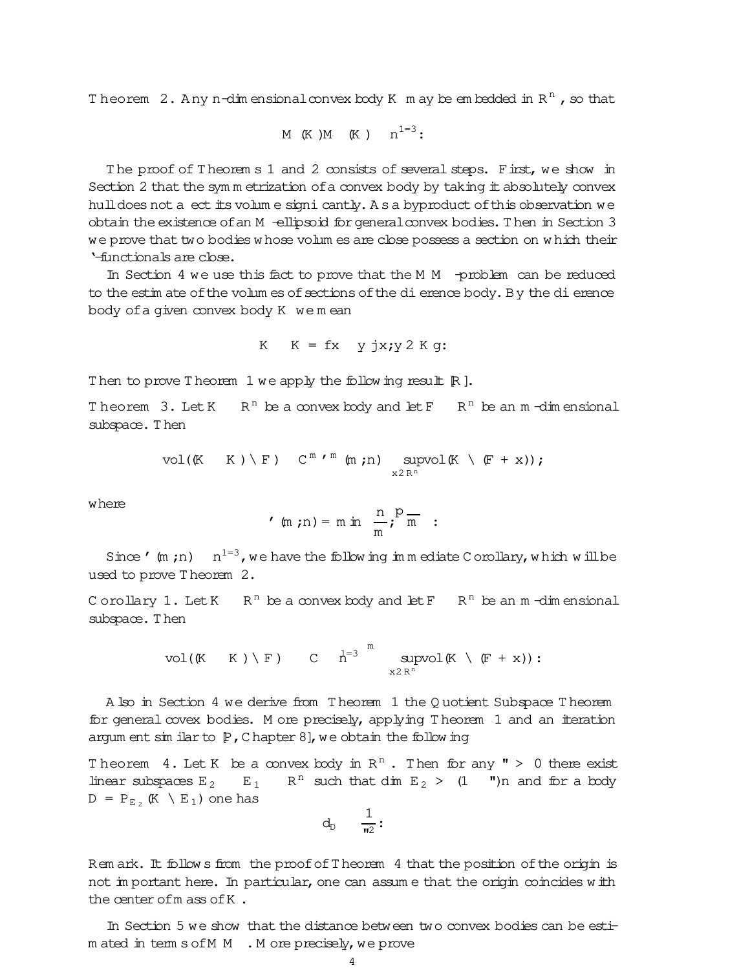Theorem 2. Any n-dimensionalconvex body K m ay be embedded in  $R^n$  , so that

$$
\text{M} \ \ (\text{K} \ \text{)}\text{M} \ \ (\text{K} \ \text{)} \quad \text{n}^{1=3}:
$$

T he proof of T heorem s 1 and 2 consists of several steps. First, we show in Section 2 that the sym m etrization of a convex body by taking it absolutely convex hull does not a ect its volum e signi cantly. A s a byproduct of this observation we obtain the existence ofan M -ellipsoid forgeneralconvex bodies.T hen in Section 3 we prove that two bodies w hose volum es are close possess a section on w hich their '-functionals are close.

In Section 4 we use this fact to prove that the M M -problem can be reduced to the estim ate of the volum es of sections of the dierence body. By the dierence body ofa given convex body K we m ean

$$
K \tK = fx \t y jx; y 2 K g:
$$

Then to prove Theorem 1 we apply the following result  $[R]$ .

Theorem  $3$ . Let K  $R<sup>n</sup>$  be a convex body and let F  $R<sup>n</sup>$  be an m-dimensional subspace. Then

vol((K K) \ F) 
$$
C^m \cdot^m (m;n)
$$
  $\underset{x2R^n}{\text{supvol}} (K \setminus (F + x))$ ;

where

$$
m(m; n) = m \ln \frac{n}{m}; \frac{p}{m} = 1
$$

Since ' $(m; n)$   $n^{1=3}$ , we have the following immediate Corollary, which will be used to prove T heorem 2.

C orollary 1. Let  $K$   $R^n$  be a convex body and let  $F$   $R^n$  be an  $m$  -dimensional subspace. Then

> vol((K  $K$ ) \F) C  $h^{=3}$   $\overline{m}$ sup x2 R<sup>n</sup> vol $(K \setminus (F + x))$ :

A lso in Section 4 we derive from T heorem 1 the Q uotient Subspace T heorem for general covex bodies. M ore precisely, applying T heorem 1 and an iteration argum ent sim ilar to  $[P,$  C hapter 8], we obtain the follow ing

Theorem 4. Let K be a convex body in  $R^n$ . Then for any " > 0 there exist linear subspaces  $E_2$   $E_1$   $R^n$  such that dim  $E_2$  > (1  $\blacksquare$ )n and for a body  $D = P_{E_2}$  (K \ E<sub>1</sub>) one has

$$
d_D \quad \frac{1}{\mathbf{u}_2}:
$$

Rem ark. It follow s from the proof of Theorem 4 that the position of the origin is not im portant here. In particular, one can assum e that the origin coincides with the center ofm ass ofK .

In Section 5 we show that the distance between two convex bodies can be estim ated in term s of M  $\,$  . M ore precisely, we prove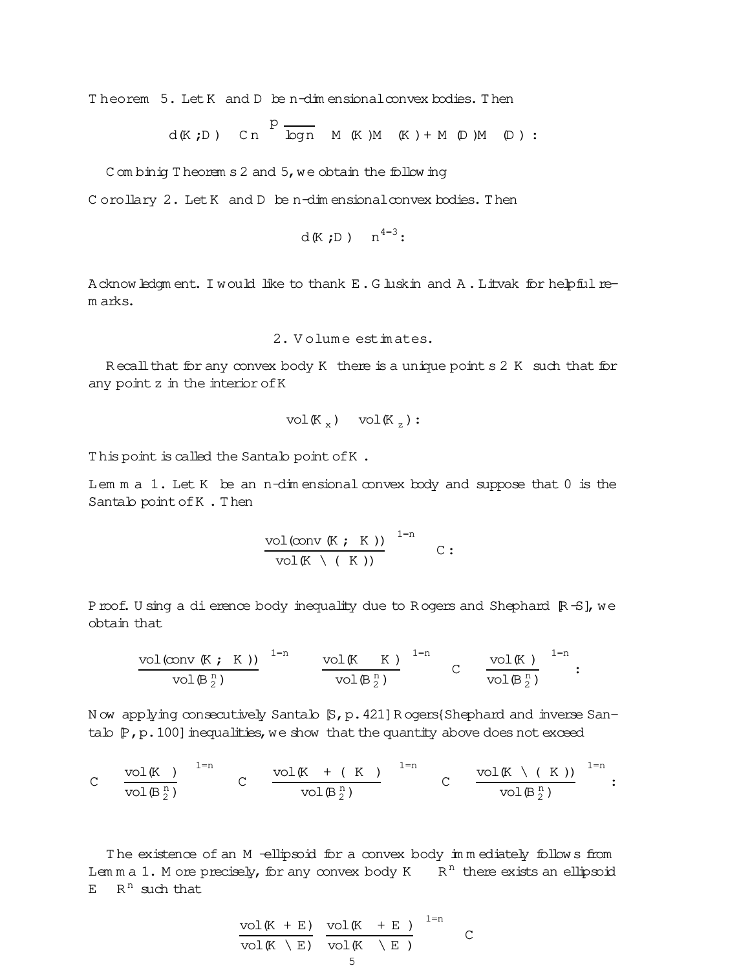Theorem 5. Let K and D be n-dim ensional convex bodies. Then

$$
d(K;D)
$$
 Cn  $\overline{p}$   $\overline{p}$  M (K)M (K) + M (D)M (D) :

C om binig T heorem  $s$  2 and  $5$ , we obtain the following

p

C orollary 2. Let K and D be n-dim ensional convex bodies. Then

$$
d(K;D) \quad n^{4=3}
$$

Acknowledgm ent. I would like to thank E.G luskin and A.Litvak for helpful rem arks.

2. V olum e estim ates.

R ecall that for any convex body K there is a unique point  $s \, 2 \,$ K such that for any point z in the interior of K

$$
\text{vol}(\mathbb{K}_x) \quad \text{vol}(\mathbb{K}_z):
$$

This point is called the Santalo point of K.

Lem m a 1. Let K be an n-dim ensional convex body and suppose that 0 is the Santalo pointofK . Then

$$
\frac{\text{vol}(\text{conv }(K; K))}{\text{vol}(K \setminus (K))} \xrightarrow{1=n} C:
$$

Proof. U sing a dierence body inequality due to R ogers and Shephard  $[R - S]$ , we obtain that

$$
\frac{\text{vol}(\text{conv }(\mathbb{K} ; K))}{\text{vol}(\mathbb{B}_2^n)} \xrightarrow{1=n} \frac{\text{vol}(\mathbb{K} K)}{\text{vol}(\mathbb{B}_2^n)} \xrightarrow{1=n} C \frac{\text{vol}(\mathbb{K})}{\text{vol}(\mathbb{B}_2^n)} \xrightarrow{1=n}:
$$

N ow applying consecutively Santalo [S,p.421]R ogers{Shephard and inverse Santalo  $[P, p.100]$  inequalities, we show that the quantity above does not exceed

$$
C \quad \frac{\text{vol}(K)}{\text{vol}(\mathbb{B}_2^n)} \quad \begin{array}{ccc} & \text{vol}(K + (K)) & \text{lim} \\ & & \text{vol}(\mathbb{B}_2^n) \end{array} \quad \begin{array}{ccc} & \text{vol}(K \setminus (K)) & \text{lim} \\ & & \text{vol}(\mathbb{B}_2^n) \end{array}.
$$

The existence of an M -ellipsoid for a convex body immediately follows from Lem m a 1. M ore precisely, for any convex body  $K$  R<sup>n</sup> there exists an ellipsoid  $E$  R<sup>n</sup> such that

$$
\frac{\text{vol}(K + E)}{\text{vol}(K \setminus E)} \frac{\text{vol}(K + E)}{\text{vol}(K \setminus E)} \frac{1-n}{C}
$$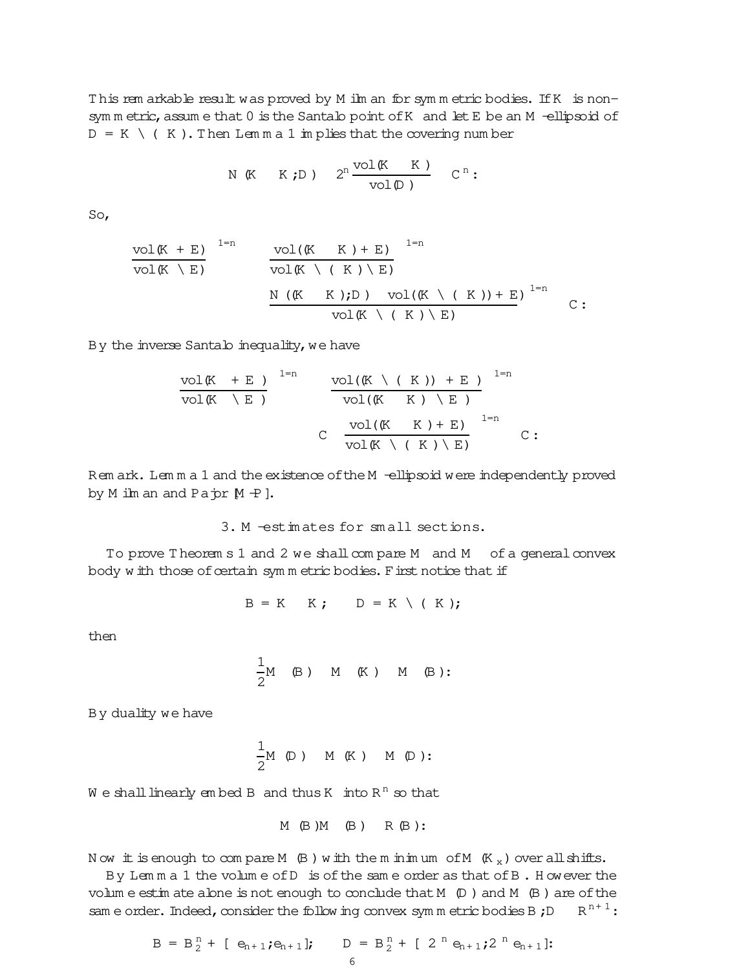T his rem arkable result was proved by M ilm an for sym m etric bodies. IfK is nonsym m etric, assum e that 0 is the Santalo point of K and let E be an M -ellipsoid of  $D = K \setminus (K)$ . Then Lem m a 1 im plies that the covering num ber

N (K K;D) 
$$
2^n \frac{\text{vol}(K K)}{\text{vol}(D)}
$$
 C<sup>n</sup>:

So,

$$
\frac{\text{vol}(K + E)}{\text{vol}(K \setminus E)} \quad \frac{\text{vol}(K \setminus K) + E)}{\text{vol}(K \setminus (K) \setminus E)} \quad \frac{\text{vol}(K \setminus (K) \setminus E)}{\text{vol}(K \setminus (K) \setminus E)} \quad \frac{\text{vol}(K \setminus (K)) + E}{\text{vol}(K \setminus (K) \setminus E)} \quad \frac{\text{vol}(K \setminus (K)) + E}{\text{vol}(K \setminus (K) \setminus E)} \quad \frac{\text{vol}(K \setminus (K)) + E}{\text{vol}(K \setminus (K) \setminus E)} \quad \frac{\text{vol}(K \setminus (K)) + E}{\text{vol}(K \setminus (K) \setminus E)} \quad \frac{\text{vol}(K \setminus (K)) + E}{\text{vol}(K \setminus (K) \setminus E)} \quad \frac{\text{vol}(K \setminus (K)) + E}{\text{vol}(K \setminus (K) \setminus E)} \quad \frac{\text{vol}(K \setminus (K)) + E}{\text{vol}(K \setminus (K) \setminus E)} \quad \frac{\text{vol}(K \setminus (K)) + E}{\text{vol}(K \setminus (K) \setminus E)} \quad \frac{\text{vol}(K \setminus (K)) + E}{\text{vol}(K \setminus (K) \setminus E)} \quad \frac{\text{vol}(K \setminus (K)) + E}{\text{vol}(K \setminus (K) \setminus E)} \quad \frac{\text{vol}(K \setminus (K)) + E}{\text{vol}(K \setminus (K) \setminus E)} \quad \frac{\text{vol}(K \setminus (K)) + E}{\text{vol}(K \setminus (K) \setminus E)} \quad \frac{\text{vol}(K \setminus (K)) + E}{\text{vol}(K \setminus (K) \setminus E)} \quad \frac{\text{vol}(K \setminus (K)) + E}{\text{vol}(K \setminus (K) \setminus E)} \quad \frac{\text{vol}(K \setminus (K)) + E}{\text{vol}(K \setminus (K) \setminus E)} \quad \frac{\text{vol}(K \setminus (K)) + E}{\text{vol}(K \setminus (K) \setminus E)} \quad \frac{\text{vol}(K \setminus (K) + E}{\text{vol}(K \setminus (K) \setminus E)} \quad \frac{\text{vol}(K \setminus (K) + E}{\text{vol}(K \setminus (K) \setminus E)} \quad \frac{\text{vol}(K \setminus (K) +
$$

By the inverse Santalo inequality, we have

$$
\frac{\text{vol}(K + E)}{\text{vol}(K \setminus E)} \quad \frac{\text{vol}((K \setminus (K)) + E)}{\text{vol}(K \setminus K) \setminus E)} \quad \frac{\text{vol}(K \setminus (K)) + E}{\text{vol}(K \setminus (K) \setminus E)} \quad \frac{\text{vol}(K \setminus (K))}{\text{vol}(K \setminus (K) \setminus E)} \quad \text{C}
$$

Rem ark. Lem m a 1 and the existence of the M -ellipsoid were independently proved by  $M$  ilm an and Pa $\pi$   $M$   $+$  ].

3. M -estim ates for sm all sections.

To prove T heorem s 1 and 2 we shall compare M and M of a general convex body w ith those of certain sym m etric bodies. First notice that if

 $B = K$  K;  $D = K \setminus (K);$ 

then

$$
\frac{1}{2}M \quad (B) \quad M \quad (K) \quad M \quad (B):
$$

By duality we have

$$
\frac{1}{2}M \quad \text{(D)} \quad M \quad \text{(K)} \quad M \quad \text{(D)}:
$$

We shall linearly embed B and thus K into  $R^{\,n}$  so that

$$
M \quad (B) M \quad (B) \quad R \quad (B) :
$$

N ow it is enough to compare M  $(B)$  w ith the m inimum of M  $(K_x)$  over all shifts.

By Lem m a 1 the volum e ofD is ofthe sam e order as that ofB . H owever the volum e estim ate alone is not enough to conclude that  $M$  ( $D$ ) and  $M$  ( $B$ ) are of the sam e order. Indeed, consider the follow ing convex sym m etric bodies B; D  $R^{n+1}$ :

$$
B = B_2^{n} + [e_{n+1}; e_{n+1}]; \qquad D = B_2^{n} + [2^{n} e_{n+1}; 2^{n} e_{n+1}];
$$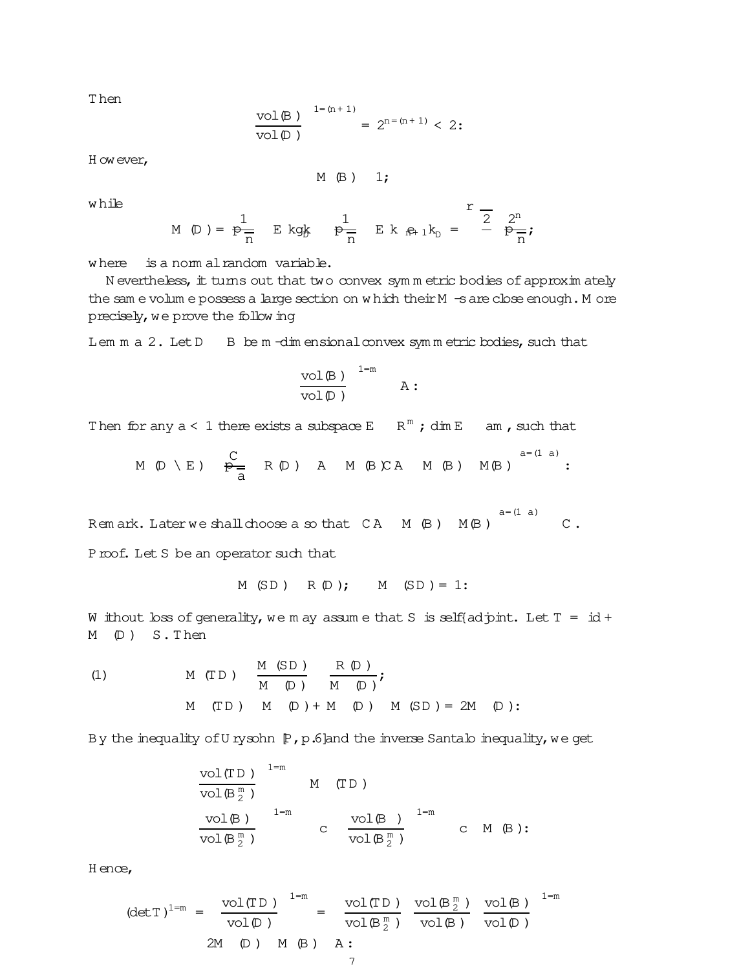T hen

$$
\frac{\mathrm{vol}(\mathbb{B}\,) }{\mathrm{vol}(\mathbb{D}\,) } \, \, \overset{1=(n+1)}{=} \, 2^{n=(n+1)} < \, 2 \, \mathbf{:}
$$

H owever,

$$
M \t (B) \t 1;
$$

w hile

$$
M(D) = \frac{1}{p-1} E kg k \frac{1}{p-1} E k_{n+1} k_{n} = \frac{r-1}{2} \frac{2^{n}}{p-1};
$$

where is a norm alrandom variable.

N evertheless, it turns out that two convex sym m etric bodies of approxim ately the sam e volum e possess a large section on w hich their M -s are close enough. M ore precisely, we prove the following

Lem  $m a 2$ . Let  $D$  B be  $m$  -dim ensional convex symm etric bodies, such that

$$
\frac{\mathrm{vol}(\mathbb{B})}{\mathrm{vol}(\mathbb{D})} \quad \xrightarrow{1=m} \quad \mathbb{A}:
$$

Then for any  $a < 1$  there exists a subspace  $E$   $R^m$ ; dim  $E$  am, such that

$$
M \text{ } (\mathbb{D} \setminus E) \quad \xrightarrow{\mathbb{C}}_{\overline{a}} \quad R \text{ } (\mathbb{D}) \quad A \quad M \text{ } (\mathbb{B} \setminus CA \quad M \text{ } (\mathbb{B})) \quad M(\mathbb{B}) \quad \xrightarrow{a = (1 \ a)}:
$$

Rem ark. Later we shall choose a so that  $CA \cap (B) \cap (B)$  $a=(1 a)$  $\mathtt{C}$  .

Proof. Let S be an operator such that

$$
M(SD) R(D); M(SD) = 1:
$$

W ithout loss of generality, we m ay assume that S is self{adjoint. Let  $T = id +$ M (D ) S. T hen

(1) 
$$
M(TD) = \frac{M(SD)}{M(D)} + \frac{R(D)}{M(D)}
$$
;  
\n $M(TD) = M(D) + M(D) + M(SD) = 2M(D)$ 

By the inequality of U rysohn  $[P, p.6]$ and the inverse Santalo inequality, we get

$$
\begin{array}{llll}\n\text{vol(TD)} & ^{1=m} & \\ \hline\n\text{vol(B)} & & \\ \hline\n\text{vol(B)} & & \\ \hline\n\text{vol(B)} & & \\ \hline\n\text{vol(B)} & & \\ \hline\n\end{array}\n\quad\n\text{M} \quad\n\text{(TD)}\n\quad\n\text{vol(B)} \quad ^{1=m} \quad \text{C} \quad\n\text{M} \quad\n\text{(B)}:
$$

H ence,

$$
(\det T)^{1=m} = \frac{\text{vol}(TD)}{\text{vol}(D)} = \frac{\text{vol}(TD)}{\text{vol}(B_{2}^{m})} \frac{\text{vol}(B_{2}^{m})}{\text{vol}(B)} \frac{\text{vol}(B)}{\text{vol}(D)}^{1=m}
$$
  
2M (D) M (B) A: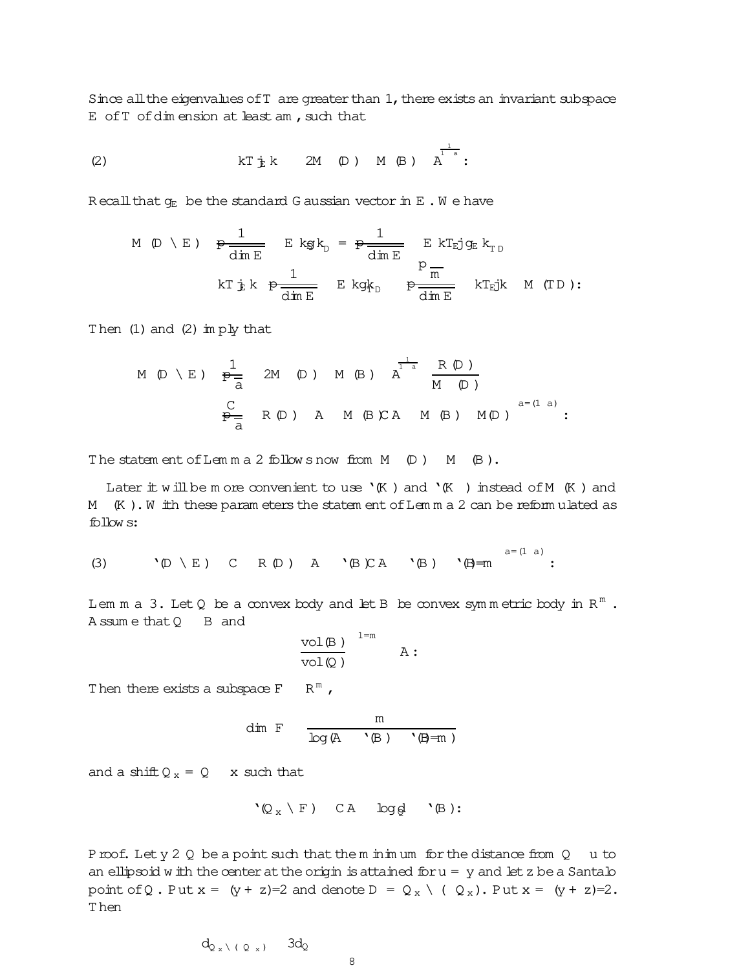Since all the eigenvalues of T are greater than 1, there exists an invariant subspace  $E$  of  $T$  of  $dim$  ension at least am , such that

(2) 
$$
kT \t{b} k
$$
 2M (D) M (B)  $\t{b}^{\frac{1}{1-a}}$ :

R ecall that  $g_E$  be the standard G aussian vector in E.W e have

M (D \ E) 
$$
\frac{1}{\dim E}
$$
 E kg k<sub>D</sub> =  $\frac{1}{\dim E}$  E kT<sub>Ej</sub> g<sub>E</sub> k<sub>T<sub>D</sub></sub>  
\nRT  $\frac{1}{\dim E}$  E kg k<sub>D</sub>  $\frac{p}{\dim E}$  kT<sub>Ej</sub>k M (TD):

Then  $(1)$  and  $(2)$  im  $p\frac{1}{Y}$  that

M (D \ E) 
$$
\frac{1}{\overline{P_{\overline{a}}}}
$$
 2M (D) M (B)  $A^{\frac{1}{1-a}} \frac{R (D)}{M (D)}$   
 $\frac{C}{\overline{P_{\overline{a}}}}$  R (D) A M (B) C A M (B) M (D)  $A^{a=(1-a)}$ :

The statem ent of Lemma 2 follows now from  $M$  (D)  $M$  (B).

Later  $\pm$  w ill be m ore convenient to use  $\kappa$  ) and  $\kappa$  ) instead of M  $(K)$  and M (K). W ith these param eters the statem ent of Lem m a 2 can be reform ulated as follow s:

(3)  $\forall \mathbb{D} \setminus E$  ) C R  $\mathbb{D}$  ) A  $\forall \mathbb{B} \setminus E$   $\forall \mathbb{B} \neq m$ a=(1 a) :

Lem m a 3. Let Q be a convex body and let B be convex symmetric body in  $R^m$  . A ssum e that Q B and

$$
\frac{\text{vol}(\mathbb{B})}{\text{vol}(\mathbb{Q})} \qquad \qquad \mathbb{A}:
$$

Then there exists a subspace  $F = R^m$ ,

$$
\dim\ F\qquad \frac{m}{\log\left(\mathbb{A}\ \cdot\, \langle\mathbb{B}\ \rangle\ \cdot\, \langle\mathbb{B} = m\ \rangle}
$$

and a shift  $Q_x = Q$  x such that

$$
`Q_x \setminus F) \quad CA \quad log\varrho \quad `B):
$$

Proof. Lety  $2 \nQ$  be a point such that the m inim um for the distance from  $Q$  u to an ellipsoid w ith the center at the origin is attained for  $u = y$  and let z be a Santalo point of Q. Put  $x = (y + z)=2$  and denote  $D = Q_x \setminus (Q_x)$ . Put  $x = (y + z)=2$ . T hen

$$
d_{Q_{x}\setminus (Q_{x})} \quad 3d_{Q}
$$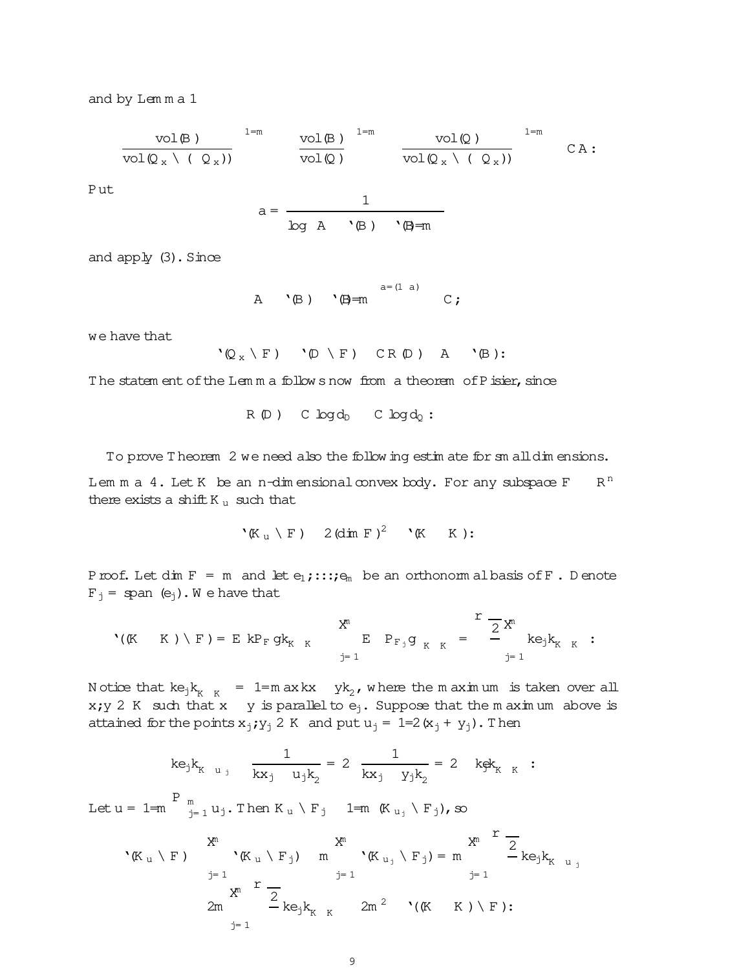and by Lem m a 1

$$
\frac{\mathrm{vol}(\beta)}{\mathrm{vol}(\mathbb{Q}_x \setminus (\mathbb{Q}_x))} \quad \frac{\mathrm{vol}(\beta)}{\mathrm{vol}(\mathbb{Q})} \quad \frac{\mathrm{vol}(\mathbb{Q})}{\mathrm{vol}(\mathbb{Q}_x \setminus (\mathbb{Q}_x))} \quad \frac{\mathrm{vol}(\mathbb{Q})}{\mathrm{vol}(\mathbb{Q}_x \setminus (\mathbb{Q}_x))} \quad \text{CA:}
$$

Put

$$
a = \frac{1}{\log A \quad \text{`B)} \quad \text{`B=m}}
$$

and  $app\psi(3)$ . Since

A 
$$
^a = (1 \text{ a})
$$
  
A  $^b(B)$   $^b = m$   $^a = (1 \text{ a})$  C;

we have that

$$
`@_{x} \ F) \qquad `@ \ F) \qquad CR @) \qquad A \qquad `B):
$$

The statem ent of the Lem m a follow s now from a theorem of P isier, since

$$
R(D) \quad C \log d_D \quad C \log d_Q:
$$

To prove T heorem 2 we need also the follow ing estim ate for sm alldim ensions.

Lem m a 4. Let K be an n-dim ensional convex body. For any subspace F  $R<sup>n</sup>$ there exists a shift K $_{u}$  such that

$$
`\left(\mathbb{K}\right._{u}\setminus\mathbb{F})\quad 2\left(\dim\,\mathbb{F}\right)^2\quad`\left(\mathbb{K}\quad\mathbb{K}\right):
$$

Proof. Let dim  $F = m$  and let  $e_1$ ;::; $e_m$  be an orthonorm albasis of F. D enote  $F_i =$  span  $(e_i)$ . We have that

$$
P_{F,j}g_{K,K} = \sum_{j=1}^{K} \frac{1}{2} X^{n}
$$
  $\sum_{j=1}^{K} P_{F,j} g_{K,K} = \sum_{j=1}^{K} \frac{1}{2} X^{n}$ 

Notice that  $ke_jk_{K-K}$  = 1=m axkx yk<sub>2</sub>, where the maximum is taken over all x;y 2 K such that x y is parallel to  $e_j$ . Suppose that the m aximum above is attained for the points  $x_j$ ;  $y_j$  2 K and put  $u_j$  = 1=2( $x_j$  +  $y_j$ ). Then

$$
ke_jk_{K_{u_j}}
$$
  $\frac{1}{kx_j u_jk_2} = 2 \frac{1}{kx_j y_jk_2} = 2 k g k_{K_{K_{K}}}$ :  
Let  $u = 1=m$   $\int_{j=1}^{P} u_j$ . Then  $K_u \setminus F_j$   $1=m (K_{u_j} \setminus F_j)$ , so

'(K <sup>u</sup> \ F ) mX j= 1 '(K <sup>u</sup> \ Fj) m mX j= 1 '(K <sup>u</sup><sup>j</sup> \ Fj)= m mX j= 1 r 2 kejk<sup>K</sup> <sup>u</sup> <sup>j</sup> 2m mX j= 1 r 2 kejk<sup>K</sup> <sup>K</sup> 2m <sup>2</sup> '((K K )\ F ):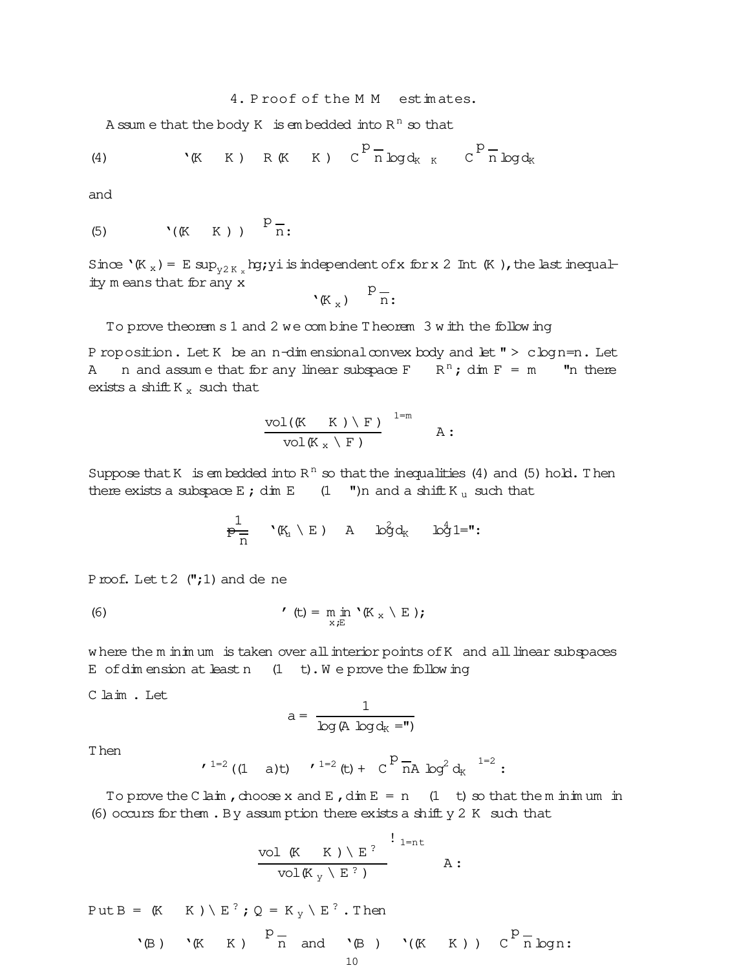# 4. Proof of the M M estimates.

A ssum e that the body  $K$  is embedded into  $R^n$  so that

(4) 
$$
(K \ K)
$$
 R (K K)  $C^{p} \overline{n} \log d_{K K} C^{p} \overline{n} \log d_{K}$ 

and

$$
(5) \qquad \qquad ^{\backprime }(\mathbb{K} \quad \mathbb{K} ) ) \qquad \overset{p}{\longrightarrow } \frac{1}{n}.
$$

Since  $\mathcal{K}_x$ ) = E sup<sub>v2K</sub> by; yi is independent of x for x 2 Int (K), the last inequality means that for any x

$$
(\mathbb{K}_x) \quad \mathbb{P}_{\overline{n}}.
$$

To prove theorem s 1 and 2 we combine Theorem 3 with the following

P roposition. Let K be an n-dim ensional convex body and let  $" > c \log n = n$ . Let A n and assume that for any linear subspace  $F$   $R^n$ ; dim  $F = m$  "n there exists a shift  $K_x$  such that

$$
\frac{\text{vol}(\mathbb{K} \quad \mathbb{K} ) \setminus \mathbb{F} \,)}{\text{vol}(\mathbb{K}_x \setminus \mathbb{F} \,)} \quad \text{a.}
$$

Suppose that K is embedded into  $R^n$  so that the inequalities (4) and (5) hold. Then there exists a subspace  $E$ ; dim  $E$  (1 ")n and a shift  $K_u$  such that

$$
\frac{1}{p} \mathbf{y} \mathbf{y} \mathbf{y} + \mathbf{y} \mathbf{y} \mathbf{y} \mathbf{y} \mathbf{y}
$$

Proof. Let  $t2$  (";1) and de ne

(6) 
$$
\mathbf{r} = \min_{\mathbf{x} \in \mathbb{E}} \mathbf{r}(\mathbf{K}_\mathbf{x} \setminus \mathbf{E}).
$$

where the m in im um is taken over all interior points of K and all linear subspaces E of dimension at least n  $(1 + t)$ . We prove the following

Claim.Let

$$
a = \frac{1}{\log (A \log d_K = \textsf{I})}
$$

T hen

$$
(1 - 2)(1 - a)t
$$
  $(1 - a)t$   $(1 - a)t$ 

To prove the C laim, choose x and E, dim  $E = n$  (1 t) so that the m in m um in (6) occurs for them. By assumption there exists a shift  $y$  2 K such that

$$
\frac{\text{vol }\left(\mathbb{K} \quad \mathbb{K}\right) \setminus E^?}{\text{vol}(\mathbb{K}_y \setminus E^?)} \xrightarrow{\text{1}_{\text{int}}} A:
$$

Put B =  $(K \ K) \setminus E^?$ ; Q =  $K_v \setminus E^?$ . Then

$$
\mathbf{R} \mathbf{B} \mathbf{B} \mathbf{C} \mathbf{B} \mathbf{C} \mathbf{C} \mathbf{B} \mathbf{C} \mathbf{C} \mathbf{C} \mathbf{C} \mathbf{C} \mathbf{C} \mathbf{C} \mathbf{C} \mathbf{C} \mathbf{C} \mathbf{C} \mathbf{C} \mathbf{C} \mathbf{C} \mathbf{C} \mathbf{C} \mathbf{C} \mathbf{C} \mathbf{C} \mathbf{C} \mathbf{C} \mathbf{C} \mathbf{C} \mathbf{C} \mathbf{C} \mathbf{C} \mathbf{C} \mathbf{C} \mathbf{C} \mathbf{C} \mathbf{C} \mathbf{C} \mathbf{C} \mathbf{C} \mathbf{C} \mathbf{C} \mathbf{C} \mathbf{C} \mathbf{C} \mathbf{C} \mathbf{C} \mathbf{C} \mathbf{C} \mathbf{C} \mathbf{C} \mathbf{C} \mathbf{C} \mathbf{C} \mathbf{C} \mathbf{C} \mathbf{C} \mathbf{C} \mathbf{C} \mathbf{C} \mathbf{C} \mathbf{C} \mathbf{C} \mathbf{C} \mathbf{C} \mathbf{C} \mathbf{C} \mathbf{C} \mathbf{C} \mathbf{C} \mathbf{C} \mathbf{C} \mathbf{C} \mathbf{C} \mathbf{C} \mathbf{C} \mathbf{C} \mathbf{C} \mathbf{C} \mathbf{C} \mathbf{C} \mathbf{C} \mathbf{C} \mathbf{C} \mathbf{C} \mathbf{C} \mathbf{C} \mathbf{C} \mathbf{C} \mathbf{C} \mathbf{C} \mathbf{C} \mathbf{C} \mathbf{C} \mathbf{C} \mathbf{C} \mathbf{C} \mathbf{C} \mathbf{C} \mathbf{C} \mathbf{C} \mathbf{C} \mathbf{C} \mathbf{C} \mathbf{C} \mathbf{C} \mathbf{C} \mathbf{C} \mathbf{C} \mathbf{C} \mathbf{C} \mathbf{C} \mathbf{C} \mathbf{C} \mathbf{C} \mathbf{C} \mathbf{C} \mathbf{C} \mathbf{C} \mathbf{C} \mathbf{C} \mathbf{C} \mathbf{C} \mathbf{C} \mathbf{
$$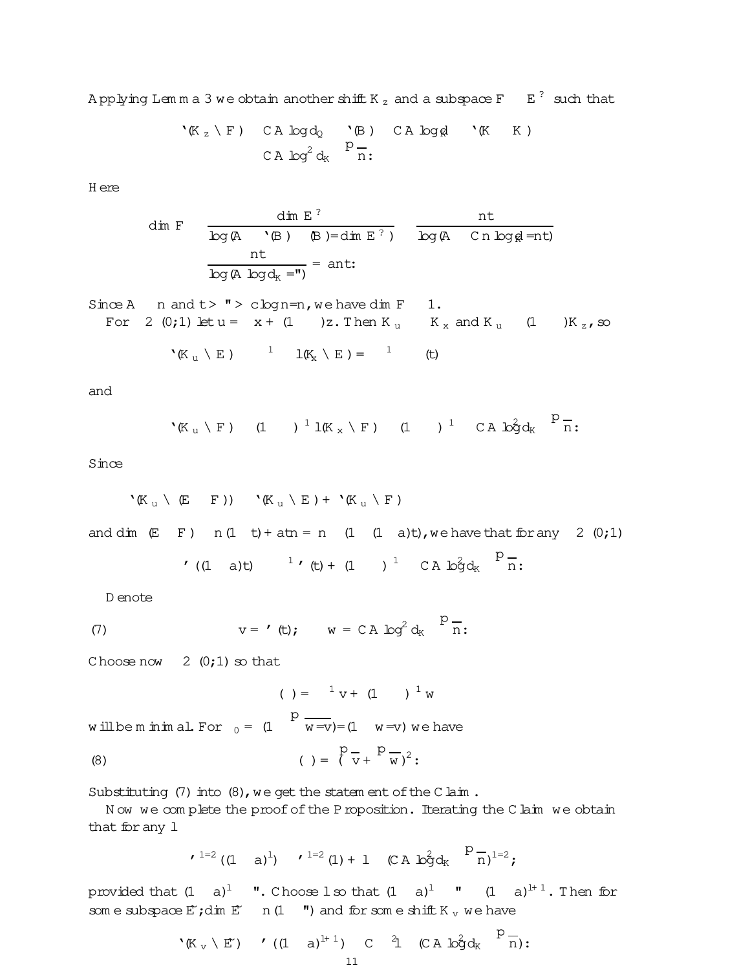Applying Lemma 3 we obtain another shift K  $_{\rm z}$  and a subspace F  $_{\rm E}$   $^{2}$  such that

$$
\begin{array}{cccc}\n\mathbf{R}_z \setminus \mathbf{F} & \mathbf{CA} \log d_Q & \mathbf{B} & \mathbf{CA} \log \mathbf{A} \\
\mathbf{CA} & \log^2 d_K & \mathbf{P}_n \\
\mathbf{CA} & \log^2 d_K & \mathbf{D} \\
\end{array}
$$

H ere

dim F 
$$
\frac{\text{dim } E^?}{\log (A \setminus (B) \setminus (B)) = \text{dim } E^?}
$$
 nt  
\nnt  $\frac{\text{nt}}{\log (A \log d_K =")} = \text{ant:}$ 

Since A 
$$
n
$$
 and  $t > " > c \log n = n$ , we have dim F 1.  
\nFor 2 (0,1) let  $u = x + (1)$  2. Then  $K_u$   $K_x$  and  $K_u$   $(1)$   $K_z$ , so  
\n $(K_u \setminus E)$   $1$   $1(K_x \setminus E) = 1$   $(t)$ 

and

$$
{}^{\backprime}(\mathbb{K}_u \setminus F) \qquad (1 \qquad )^{-1} \text{lk }_x \setminus F \text{)} \qquad (1 \qquad )^{-1} \qquad C \text{ A} \text{ b}^2 \text{d}_K \qquad \frac{P}{n}.
$$

Since

$$
{}^{\backprime}(\mathbb{K}_{\mathfrak{u}}\setminus(E-F))\longrightarrow(\mathbb{K}_{\mathfrak{u}}\setminus E)+{}^{\backprime}(\mathbb{K}_{\mathfrak{u}}\setminus F)
$$

and dim  $(E \ F)$  n(1 t) + atn = n (1 (1 a)t), we have that for any 2 (0;1)

$$
f((1 \t a)t) \t 1 f(t) + (1 \t ) \t 1 C A b g d_K \t P_{n}^{-}.
$$

D enote

(7) 
$$
v = '(t); \t w = CA \log^2 d_K \frac{p}{n}
$$

Choose now  $2(0;1)$  so that

( ) =  ${}^{1}$  v + (1 )  ${}^{1}$  w will be m in im al. For  $_0 = (1$ p  $w =v$ ) = (1  $w =v$ ) we have (8)  $( ) = \binom{8}{1}$ p  $\overline{v}$ + p  $\overline{w}$ )<sup>2</sup>:

Substituting  $(7)$  into  $(8)$ , we get the statem ent of the C laim.

N ow we complete the proof of the Proposition. Iterating the Claim we obtain that for any l

$$
(1 - 2((1 - a)^1)
$$
  $(1 + 1)(C A b2 dK)P  $\frac{1}{n}$ )<sup>1=2</sup>;$ 

provided that  $(1\quad a)^1$  ". Choose lso that  $(1\quad a)^1$  "  $(1\quad a)^{1+1}$ . Then for som e subspace  $E'$ ; dim  $E'$  n(1  $\blacksquare$ ) and for som e shift K<sub>v</sub> we have

$$
{}^{\backprime}K_{v} \setminus E') \qquad (1 \quad a)^{l+1}) \quad C \quad \stackrel{?}{1} \quad (CA \; b\hat{g}d_{K} \quad \stackrel{P}{n}) : \\ 11
$$

 $\sim$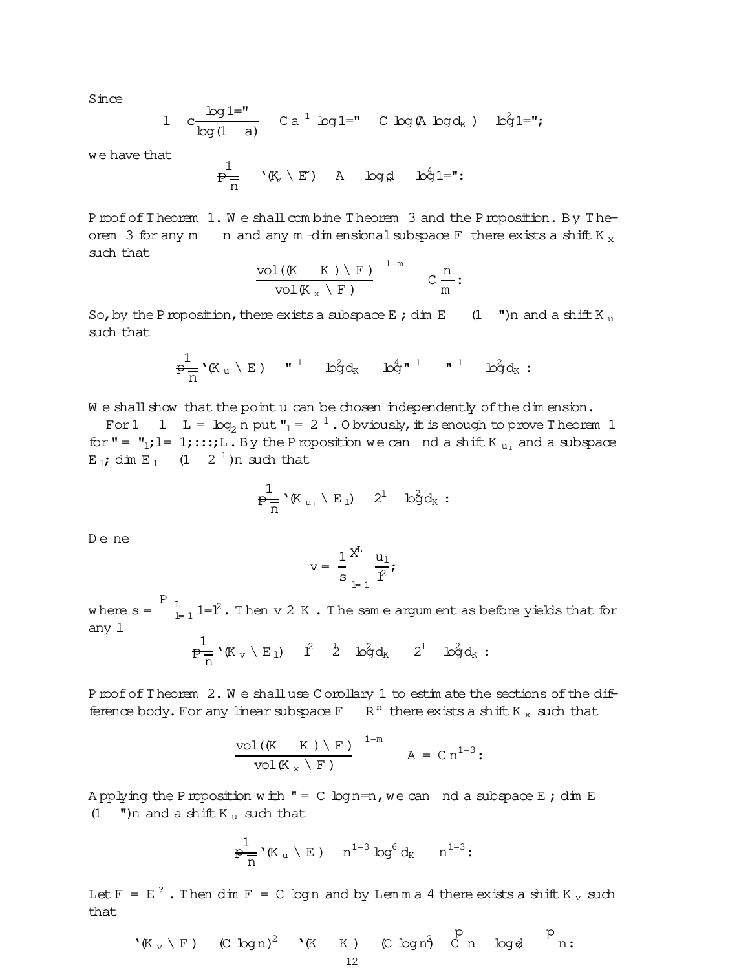Since

l c log1=" log(1 a) C a <sup>1</sup> log1=" C log(A logd<sup>K</sup> ) log<sup>2</sup> 1=";

we have that

$$
\frac{1}{p}\frac{1}{n} \quad \text{``$\mathbb{K}$_v \setminus E$''$)\quad A \quad \log \text{gl} \quad \log \text{fl} = \text{''}:
$$

Proof of Theorem 1. We shall combine Theorem 3 and the Proposition. By Theorem 3 for any m n and any m -dim ensional subspace F there exists a shift K  $_{x}$ such that

$$
\frac{\text{vol}(\mathbb{K} \quad \mathbb{K} ) \setminus \mathbb{F})}{\text{vol}(\mathbb{K} \times \mathbb{K} )} \xrightarrow{1=m} C \frac{n}{m}:
$$

So, by the P roposition, there exists a subspace E; dim E (1 ")n and a shift K u such that

$$
\frac{1}{p-1} \cdot (K_u \setminus E) \quad \text{if} \quad 1 \quad \log^2 d_K \quad \log^{4} \quad 1 \quad \text{if} \quad 1 \quad \log^2 d_K:
$$

We shall show that the point u can be chosen independently of the dim ension.

For 1 l L =  $\log_2 n$  put  $\mathbf{v}_1 = 2^{-1}$ . O bviously, it is enough to prove T heorem 1 for " =  $"_1; l = 1; ...; L$ . By the Proposition we can nd a shift K<sub>u</sub> and a subspace E<sub>1</sub>; dim E<sub>1</sub> (1  $2^{-1}$ )n such that

$$
\frac{1}{P-}\prime(K_{u_1}\setminus E_1) \quad 2^1 \quad \text{log}d_K:
$$

De ne

$$
v=\ \frac{1}{s}\sum_{l^=1}^{X^L}\frac{u_1}{l^2}\textbf{;}
$$

where  $s = \begin{bmatrix} P & L \\ L & L \end{bmatrix}$   $1 = 1^2$ . Then v 2 K . The same argum ent as before yields that for any l

$$
\frac{1}{p-} \, {}^\backprime \! \mathbb{K}_v \setminus E_1) \quad l^2 \quad \, \textcolor{red}{\dot{2}} \quad \, \textcolor{red}{\dot{b_3}} \textcolor{blue}{d_K} \quad \, \textcolor{red}{2^1} \quad \, \textcolor{red}{\dot{b_3}} \textcolor{blue}{d_K} \, : \,
$$

Proof of Theorem 2. We shalluse C orollary 1 to estimate the sections of the difference body. For any linear subspace  $F$   $\overline{R}^n$  there exists a shift K<sub>x</sub> such that

$$
\frac{\text{vol}(\mathbb{K} \quad \mathbb{K} ) \setminus \mathbb{F})}{\text{vol}(\mathbb{K}_x \setminus \mathbb{F})} \qquad \text{and} \qquad A = C n^{1=3};
$$

A pplying the P roposition with  $" = C log n = n$ , we can nd a subspace E; dim E (1  $\blacksquare$ )n and a shift K<sub>u</sub> such that

$$
\tfrac{1}{p-} \cdot \text{K}_u \setminus E \text{ ) } n^{1-3} \log^6 d_K \quad n^{1-3} \colon
$$

Let F =  $E^2$  . Then dim F = C logn and by Lemma 4 there exists a shift K  $_v$  such that

$$
{}^{\bullet}K_{v} \setminus F) \qquad (C \log n)^{2} \qquad {}^{\bullet}K \qquad K \qquad (C \log n)^{2} \qquad C \frac{p}{n} \qquad \log n \qquad P \frac{1}{n}.
$$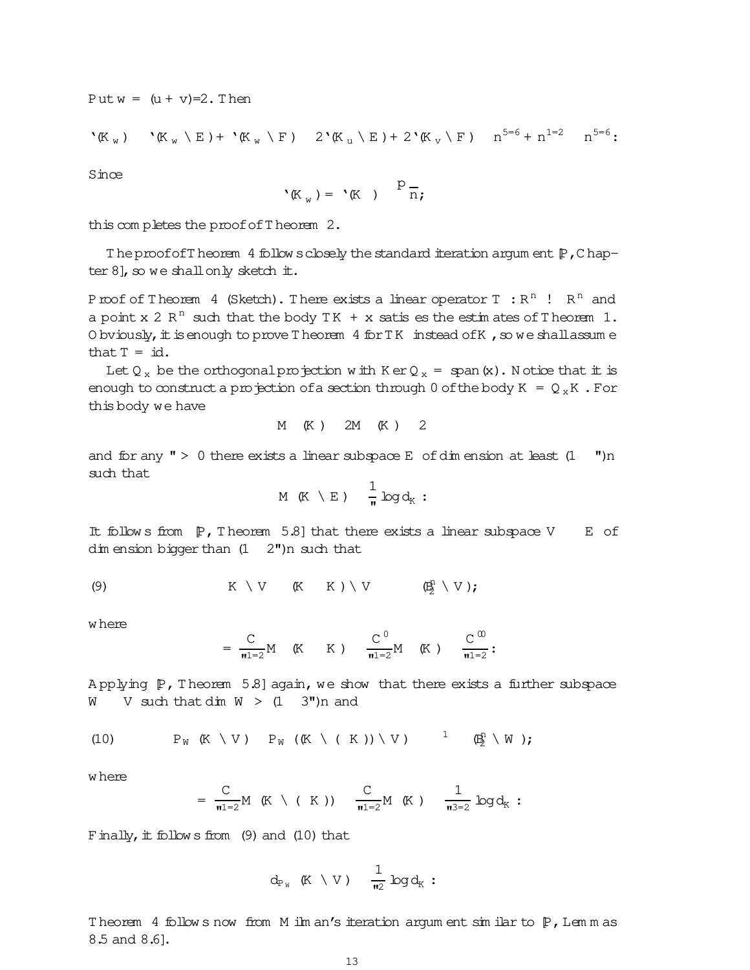Put  $w = (u + v) = 2$ . Then

$$
\mathbf{C}(\mathbb{K}_{w}) \qquad \mathbf{C}(\mathbb{K}_{w} \setminus \mathbb{E}) + \mathbf{C}(\mathbb{K}_{w} \setminus \mathbb{F}) \qquad 2 \mathbf{C}(\mathbb{K}_{u} \setminus \mathbb{E}) + 2 \mathbf{C}(\mathbb{K}_{v} \setminus \mathbb{F}) \qquad n^{5=6} + n^{1=2} \qquad n^{5=6}
$$

Since

$$
P_{\mathbb{K}_w} = P_{\mathbb{K}} \quad \text{on} \quad P_{\overline{n}};
$$

this com pletes the proofofT heorem 2.

The proof of Theorem 4 follow sclosely the standard iteration argum ent  $[P,Chap$ ter  $8$ ], so we shall only sketch it.

Proof of Theorem 4 (Sketch). There exists a linear operator T  $\,$  : R<sup>n</sup>  $\,$  R<sup>n</sup> and a point x 2  $R<sup>n</sup>$  such that the body TK + x satis es the estimates of Theorem 1. O bviously, it is enough to prove Theorem 4 for TK instead of K, so we shall assum e that  $T = id$ .

Let Q<sub>x</sub> be the orthogonalprojection w ith K erQ<sub>x</sub> = span(x). Notice that it is enough to construct a projection of a section through 0 of the body  $K = Q_xK$ . For this body we have

$$
M(K) \quad 2M(K) \quad 2
$$

and for any  $" > 0$  there exists a linear subspace E of dim ension at least  $(1 \t"')n$ such that

$$
M(K \setminus E) \quad \frac{1}{\pi} \log d_K:
$$

It follows from  $[P,$  Theorem 5.8] that there exists a linear subspace V E of dim ension bigger than (1 2")n such that

(9) 
$$
K \setminus V
$$
  $(K \setminus K) \setminus V$   $(E_2^T \setminus V)$ ;

w here

$$
= \frac{C}{\pi i = 2} M \quad (K \quad K) \quad \frac{C^0}{\pi i = 2} M \quad (K) \quad \frac{C^{\omega}}{\pi i = 2}:
$$

Applying  $[P,$  Theorem 5.8] again, we show that there exists a further subspace W V such that dim  $W > (1 \ 3")n$  and

(10) 
$$
P_W (K \setminus V) P_W ((K \setminus (K)) \setminus V) \qquad \stackrel{1}{\longrightarrow} (\underline{B}_2^n \setminus W);
$$

w here

$$
= \ \frac{C}{\mathfrak{n} \, 1\! =\! 2} M \ \ (\mathbb{K} \ \setminus \ (\ \ \mathbb{K} \ \ )) \quad \ \frac{C}{\mathfrak{n} \, 1\! =\! 2} M \ \ (\mathbb{K} \ \ ) \quad \ \frac{1}{\mathfrak{n} \, 3\! =\! 2} \ \log d_{\mathbb{K}} \ \ \mathbf{:}
$$

Finally, it follow s from  $(9)$  and  $(10)$  that

$$
d_{P_W} (K \setminus V) = \frac{1}{\pi^2} \log d_K :
$$

Theorem 4 follows now from M ilm an's iteration argum ent sim ilar to  $P$ , Lem m as 8.5 and 8.6].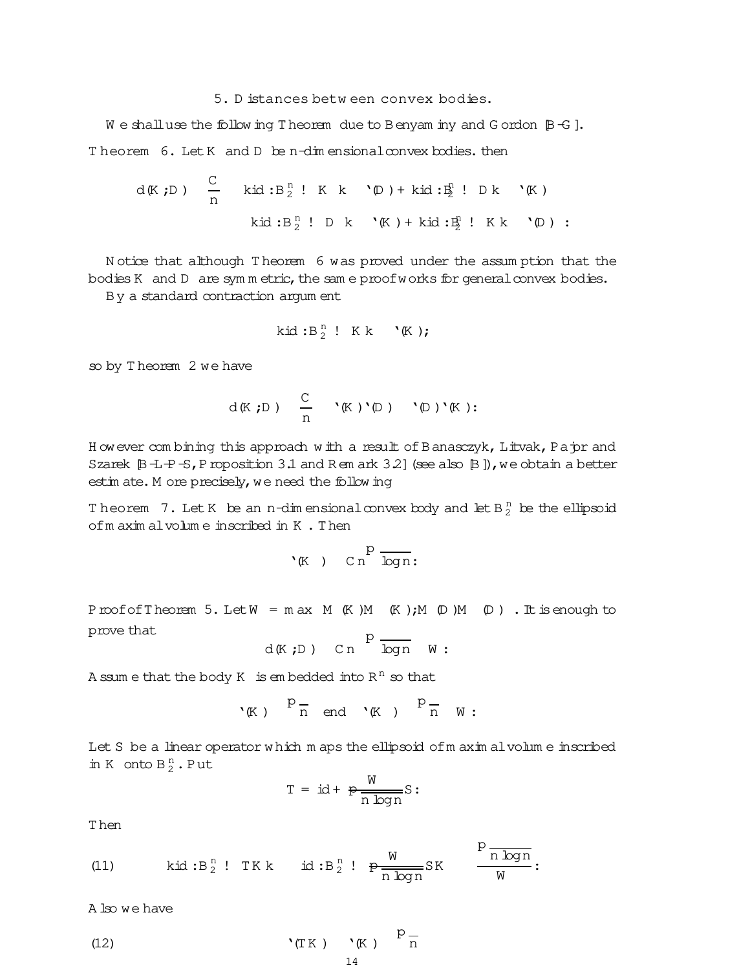## 5. D istances betw een convex bodies.

We shall use the follow ing T heorem due to Benyam iny and G ordon  $[**B** - **G**].$ Theorem 6. Let K and D be n-dim ensional convex bodies. then

$$
d(K;D) \quad \frac{C}{n} \quad \text{kid}: B_2^n ! K k \quad \text{'D}) + \text{kid}: B_2^n ! D k \quad \text{'K})
$$
\n
$$
\text{kid}: B_2^n ! D k \quad \text{'K}) + \text{ kid}: B_2^n ! K k \quad \text{'D}) :
$$

N otice that although T heorem 6 was proved under the assum ption that the bodies K and  $D$  are symmetric, the same proof works for general convex bodies.

By a standard contraction argum ent

$$
\text{kid}:B_2^n:~K~k~~`(K);
$$

so by T heorem 2 we have

$$
d(K,D) \quad \frac{C}{n} \quad \ ^{\backprime}(K) \ ^{\backprime}(\mathbb{D}) \quad \ ^{\backprime}(\mathbb{D}) \ ^{\backprime}(K) :
$$

H owever com bining this approach w ith a result of Banasczyk, Litvak, Pajor and Szarek  $\beta$ -L-P-S, Proposition 3.1 and R em ark 3.2] (see also  $\beta$  ]), we obtain a better estim ate. M ore precisely, we need the following

Theorem 7. Let K be an n-dimensional convex body and let B $_2^{\mathrm{n}}$  be the ellipsoid ofm axim alvolum e inscribed in K . Then

$$
\cdot_{(\text{K})}\quad\text{c}\,\text{n}^{\text{p}}\,\overline{\text{log}\,\text{n}}\,:
$$

ProofofTheorem 5. Let  $W = max M$  (K)M (K); M (D)M (D). It is enough to prove that

$$
d(K;D)
$$
 Cn  $\overline{p}$   $\overline{logn}$  W:

A ssum e that the body K is embedded into  $R^n$  so that

$$
\ ^{\backprime }(\!K\! \;)\! \overset{p-}{n}\;\;\text{end}\ \ \, \mathbf{\ ^{\backprime }}(\!K\! \;)\! \overset{p-}{n}\;\;\mathbf{\ ^{\backprime }}\;\mathbf{\ ^{\backprime }}\;:\!
$$

Let S be a linear operator w hich m aps the ellipsoid of m axim alvolum e inscribed in K onto  $B_2^n$ . Put

$$
T = id + \frac{W}{n \log n}S:
$$

T hen

(11) 
$$
kid:B_2^n
$$
! TKk  $id:B_2^n$ !  $p\frac{W}{n \log n}SK$   $\frac{P \frac{N}{n \log n}}{W}$ :

A lso we have

(12) 
$$
\mathbf{C}(\mathbb{T}K) \quad \mathbf{C}(K) \quad \mathbb{P} \frac{1}{n}
$$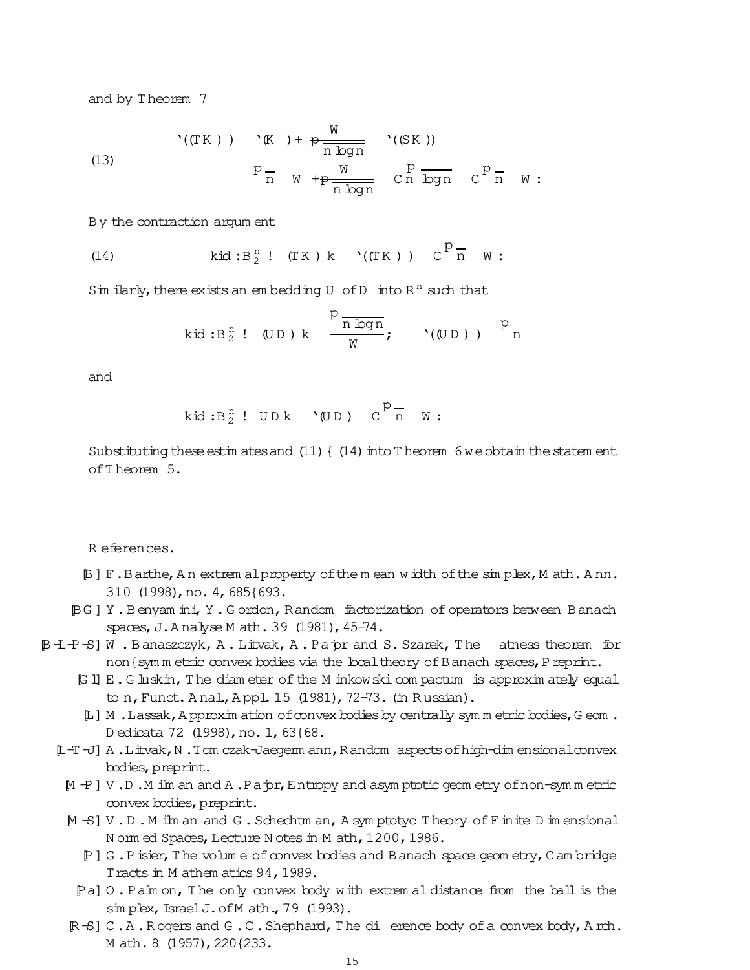and by T heorem 7

(13)  
\n
$$
{}^{(T K)} = {}^{(T K)} + {}^{(T K)} + \frac{W}{n \log n} \qquad (S K))
$$
\n
$$
P_{\overline{n}} = W + P \frac{W}{n \log n} \qquad C \overline{n} \log n \qquad C \overline{P}_{\overline{n}} = W:
$$

By the contraction argum ent

(14) 
$$
kid:B_2^n
$$
! (TK) k'((TK))  $C^p \overline{n} w$ :

Sim ilarly, there exists an embedding  $U$  of  $D$  into  $R<sup>n</sup>$  such that

$$
kd:B_2^n: (UD) k \frac{P \frac{1}{n \log n}}{W}; \qquad ((UD)) P \frac{1}{n}
$$

and

$$
\text{kid}: \text{B}_2^n : \text{ UDR } (\text{UD}) \text{ C}^p \text{ in } \text{W}:
$$

Substituting these estim ates and  $(11)$  {  $(14)$  into T heorem 6 we obtain the statem ent ofT heorem 5.

R eferences.

- [B] F.Barthe,A n extrem alproperty ofthe m ean w idth ofthe sim plex,M ath.A nn. 310 (1998),no. 4,685{693.
- [BG ] Y .Benyam ini,Y .G ordon,Random factorization of operators between Banach spaces, J.A nalyse M ath. 39 (1981), 45-74.
- [B-L-P-S] W. Banaszczyk, A. Litvak, A. Pajor and S. Szarek, The atness theorem for non { sym m etric convex bodies via the local theory of B anach spaces, P reprint.
	- [G l] E.G luskin,The diam eter of the M inkowski com pactum is approxim ately equal to n, Funct. A nal., A ppl. 15 (1981), 72-73. (in Russian).
	- [L] M . Lassak, A pproxim ation of convex bodies by centrally symm etric bodies, G eom. D edicata 72 (1998), no. 1, 63{68.
	- [L-T -J] A .Litvak,N .Tom czak-Jaegerm ann,Random aspectsofhigh-dim ensionalconvex bodies,preprint.
		- $[M -P] V$ .D.M ilm an and A.Pajor, Entropy and asym ptotic geom etry of non-symm etric convex bodies, preprint.
		- [M -S] V .D .M ilm an and G .Schechtm an,A sym ptotyc Theory of Finite D im ensional N orm ed Spaces, Lecture N otes in M ath, 1200, 1986.
			- [P] G .Pisier,The volum e ofconvex bodies and Banach space geom etry,C am bridge Tracts in M athem atics 94, 1989.
			- [Pa] O . Palm on, The only convex body with extrem al distance from the ball is the sim plex, Israel J. of M ath., 79 (1993).
		- [R -S] C .A .R ogers and G .C .Shephard,The di erence body ofa convex body,A rch. M ath. 8 (1957), 220{233.